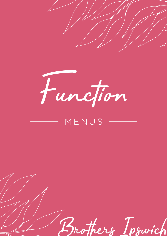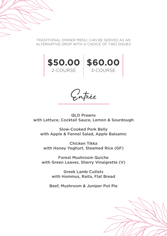TRADITIONAL DINNER MENU; CAN BE SERVED AS AN ALTERNATIVE DROP WITH A CHOICE OF TWO DISHES



Entrée

QLD Prawns with Lettuce, Cocktail Sauce, Lemon & Sourdough

Slow-Cooked Pork Belly with Apple & Fennel Salad, Apple Balsamic

Chicken Tikka with Honey Yoghurt, Steamed Rice (GF)

Forest Mushroom Quiche with Green Leaves, Sherry Vinaigrette (V)

> Greek Lamb Cutlets with Hommus, Raita, Flat Bread

Beef, Mushroom & Juniper Pot Pie

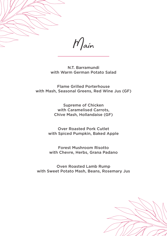

 $M$ ain

N.T. Barramundi with Warm German Potato Salad

Flame Grilled Porterhouse with Mash, Seasonal Greens, Red Wine Jus (GF)

> Supreme of Chicken with Caramelised Carrots, Chive Mash, Hollandaise (GF)

Over Roasted Pork Cutlet with Spiced Pumpkin, Baked Apple

Forest Mushroom Risotto with Chevre, Herbs, Grana Padano

Oven Roasted Lamb Rump with Sweet Potato Mash, Beans, Rosemary Jus

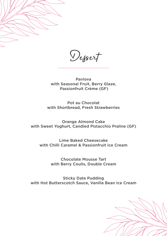

Dessert

Pavlova with Seasonal Fruit, Berry Glaze, Passionfruit Crème (GF)

Pot au Chocolat with Shortbread, Fresh Strawberries

Orange Almond Cake with Sweet Yoghurt, Candied Pistacchio Praline (GF)

Lime Baked Cheesecake with Chilli Caramel & Passionfruit Ice Cream

> Chocolate Mousse Tart with Berry Coulis, Double Cream

Sticky Date Pudding with Hot Butterscotch Sauce, Vanilla Bean Ice Cream